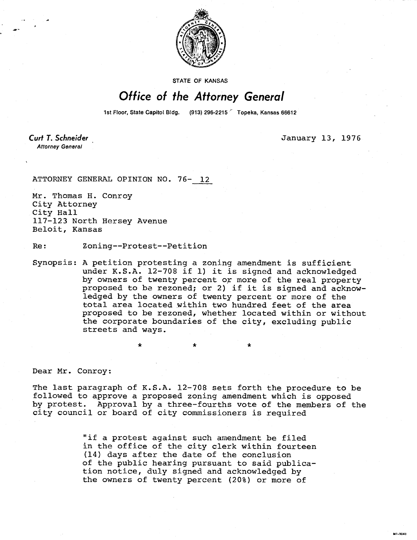

**STATE OF KANSAS** 

## Office of the Attorney General

1st Floor, State Capitol Bldg. (913) 296-2215 Topeka, Kansas 66612

Curt T. Schneider **Attorney General** 

January 13, 1976

M1-1043

ATTORNEY GENERAL OPINION NO. 76- 12

Mr. Thomas H. Conroy City Attorney City Hall 117-123 North Hersey Avenue Beloit, Kansas

Re: Zoning--Protest--Petition

Synopsis: A petition protesting a zoning amendment is sufficient under K.S.A. 12-708 if 1) it is signed and acknowledged by owners of twenty percent or more of the real property proposed to be rezoned; or 2) if it is signed and acknowledged by the owners of twenty percent or more of the total area located within two hundred feet of the area proposed to be rezoned, whether located within or without the corporate boundaries of the city, excluding public streets and ways.

Dear Mr. Conroy:

The last paragraph of K.S.A. 12-708 sets forth the procedure to be followed to approve a proposed zoning amendment which is opposed by protest. Approval by a three-fourths vote of the members of the city council or board of city commissioners is required

> "if a protest against such amendment be filed in the office of the city clerk within fourteen (14) days after the date of the conclusion of the public hearing pursuant to said publication notice, duly signed and acknowledged by the owners of twenty percent (20%) or more of